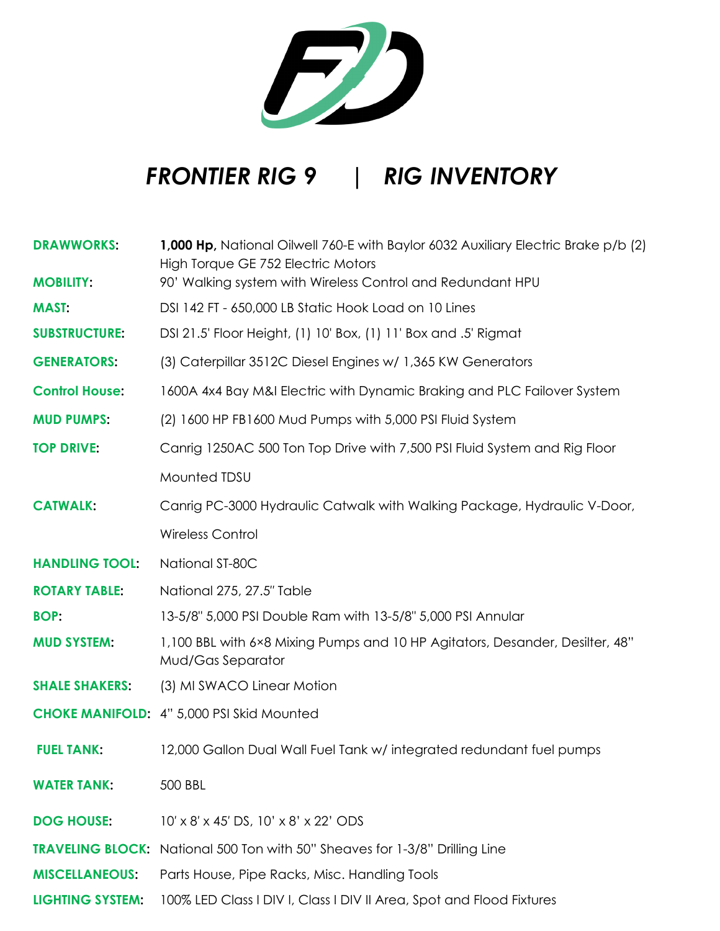

## *FRONTIER RIG 9 | RIG INVENTORY*

| <b>DRAWWORKS:</b>       | 1,000 Hp, National Oilwell 760-E with Baylor 6032 Auxiliary Electric Brake p/b (2)<br>High Torque GE 752 Electric Motors |
|-------------------------|--------------------------------------------------------------------------------------------------------------------------|
| <b>MOBILITY:</b>        | 90' Walking system with Wireless Control and Redundant HPU                                                               |
| <b>MAST:</b>            | DSI 142 FT - 650,000 LB Static Hook Load on 10 Lines                                                                     |
| <b>SUBSTRUCTURE:</b>    | DSI 21.5' Floor Height, (1) 10' Box, (1) 11' Box and .5' Rigmat                                                          |
| <b>GENERATORS:</b>      | (3) Caterpillar 3512C Diesel Engines w/ 1,365 KW Generators                                                              |
| <b>Control House:</b>   | 1600A 4x4 Bay M&I Electric with Dynamic Braking and PLC Failover System                                                  |
| <b>MUD PUMPS:</b>       | (2) 1600 HP FB1600 Mud Pumps with 5,000 PSI Fluid System                                                                 |
| <b>TOP DRIVE:</b>       | Canrig 1250AC 500 Ton Top Drive with 7,500 PSI Fluid System and Rig Floor                                                |
|                         | Mounted TDSU                                                                                                             |
| <b>CATWALK:</b>         | Canrig PC-3000 Hydraulic Catwalk with Walking Package, Hydraulic V-Door,                                                 |
|                         | <b>Wireless Control</b>                                                                                                  |
| <b>HANDLING TOOL:</b>   | National ST-80C                                                                                                          |
| <b>ROTARY TABLE:</b>    | National 275, 27.5" Table                                                                                                |
| <b>BOP:</b>             | 13-5/8" 5,000 PSI Double Ram with 13-5/8" 5,000 PSI Annular                                                              |
| <b>MUD SYSTEM:</b>      | 1,100 BBL with 6×8 Mixing Pumps and 10 HP Agitators, Desander, Desilter, 48"<br>Mud/Gas Separator                        |
| <b>SHALE SHAKERS:</b>   | (3) MI SWACO Linear Motion                                                                                               |
|                         | <b>CHOKE MANIFOLD: 4" 5,000 PSI Skid Mounted</b>                                                                         |
| <b>FUEL TANK:</b>       | 12,000 Gallon Dual Wall Fuel Tank w/ integrated redundant fuel pumps                                                     |
| <b>WATER TANK:</b>      | 500 BBL                                                                                                                  |
| <b>DOG HOUSE:</b>       | $10' \times 8' \times 45'$ DS, $10' \times 8' \times 22'$ ODS                                                            |
|                         | TRAVELING BLOCK: National 500 Ton with 50" Sheaves for 1-3/8" Drilling Line                                              |
| <b>MISCELLANEOUS:</b>   | Parts House, Pipe Racks, Misc. Handling Tools                                                                            |
| <b>LIGHTING SYSTEM:</b> | 100% LED Class I DIV I, Class I DIV II Area, Spot and Flood Fixtures                                                     |